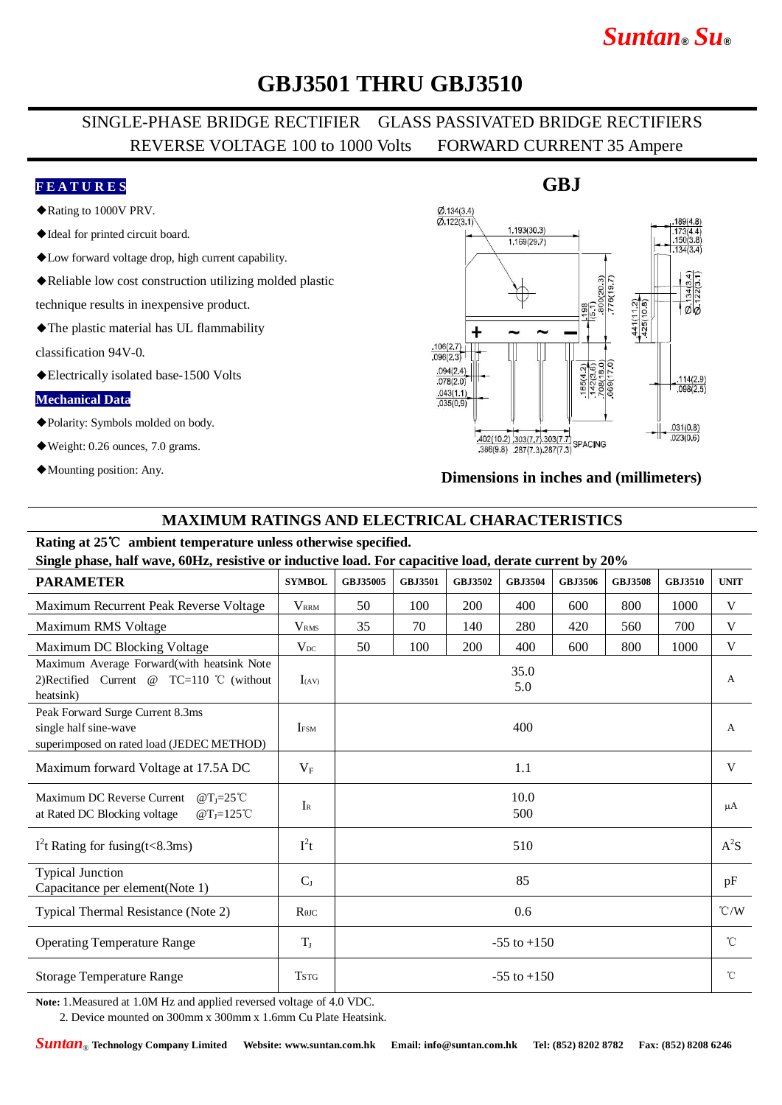# *Suntan***®** *Su***®**

### **GBJ3501 THRU GBJ3510**

### SINGLE-PHASE BRIDGE RECTIFIER GLASS PASSIVATED BRIDGE RECTIFIERS REVERSE VOLTAGE 100 to 1000 Volts FORWARD CURRENT 35 Ampere

#### **F E A T U R E S**

- ◆Rating to 1000V PRV.
- ◆Ideal for printed circuit board.
- ◆Low forward voltage drop, high current capability.
- ◆Reliable low cost construction utilizing molded plastic

technique results in inexpensive product.

◆The plastic material has UL flammability

classification 94V-0.

◆Electrically isolated base-1500 Volts

#### **Mechanical Data**

- ◆Polarity: Symbols molded on body.
- ◆Weight: 0.26 ounces, 7.0 grams.
- ◆Mounting position: Any.

#### $Ø$  134(3.4)  $\overline{0}$  122(3.1)  $1.193(30.3)$ 173(4<br>150(3  $1.169(29.7)$ 441(112)<br>425(10.8)  $\sigma$ +  $.106(2.7)$  $.096(2.3)$ 65(4.2)  $.094(2.4)$  $\frac{.114(2.9)}{.098(2.5)}$  $.078(2.0)$  $.043(1.1)$  $.035(0.9)$  $031(0.8)$  $\frac{402(10.2)}{386(0.8)}$   $\frac{303(7.7)}{286(0.8)}$   $\frac{307(7.2)}{297(7.2)}$  SPACING  $.023(0.6)$  $386(9.8)$   $287(7.3)$   $287(7.3)$

#### **Dimensions in inches and (millimeters)**

#### **MAXIMUM RATINGS AND ELECTRICAL CHARACTERISTICS**

#### **Rating at 25**℃ **ambient temperature unless otherwise specified.**

**Single phase, half wave, 60Hz, resistive or inductive load. For capacitive load, derate current by 20%**

|                                                                                                                                  | онідіє риазе, най-мате, обиті, гезізите ог іншесите юаш. Гог сарасните юаш, шегане саггене бу 2070 |                 |                |                |                |                |                |                |               |
|----------------------------------------------------------------------------------------------------------------------------------|----------------------------------------------------------------------------------------------------|-----------------|----------------|----------------|----------------|----------------|----------------|----------------|---------------|
| <b>PARAMETER</b>                                                                                                                 | <b>SYMBOL</b>                                                                                      | GBJ35005        | <b>GBJ3501</b> | <b>GBJ3502</b> | <b>GBJ3504</b> | <b>GBJ3506</b> | <b>GBJ3508</b> | <b>GBJ3510</b> | <b>UNIT</b>   |
| Maximum Recurrent Peak Reverse Voltage                                                                                           | <b>VRRM</b>                                                                                        | 50              | 100            | 200            | 400            | 600            | 800            | 1000           | V             |
| Maximum RMS Voltage                                                                                                              | <b>V</b> <sub>RMS</sub>                                                                            | 35              | 70             | 140            | 280            | 420            | 560            | 700            | V             |
| Maximum DC Blocking Voltage                                                                                                      | $V_{DC}$                                                                                           | 50              | 100            | 200            | 400            | 600            | 800            | 1000           | V             |
| Maximum Average Forward(with heatsink Note<br>2)Rectified Current @ TC=110 ℃ (without<br>heatsink)                               | $I_{(AV)}$                                                                                         | 35.0<br>5.0     |                |                |                |                |                |                | A             |
| Peak Forward Surge Current 8.3ms<br>single half sine-wave<br>superimposed on rated load (JEDEC METHOD)                           | <b>IFSM</b>                                                                                        | 400             |                |                |                |                |                |                | A             |
| Maximum forward Voltage at 17.5A DC                                                                                              | $V_{\rm F}$                                                                                        | 1.1             |                |                |                |                |                |                | V             |
| Maximum DC Reverse Current<br>$\omega$ T <sub>I</sub> =25 <sup>°</sup> C<br>at Rated DC Blocking voltage<br>$@T_1=125^{\circ}$ C | $\rm I_R$                                                                                          | 10.0<br>500     |                |                |                |                |                |                | μA            |
| $I2t$ Rating for fusing(t<8.3ms)                                                                                                 | $I^2t$                                                                                             | 510             |                |                |                |                |                |                | $A^2S$        |
| <b>Typical Junction</b><br>Capacitance per element(Note 1)                                                                       | $C_{J}$                                                                                            | 85              |                |                |                |                |                |                | pF            |
| Typical Thermal Resistance (Note 2)                                                                                              | $R$ <sup><math>\theta</math>JC</sup>                                                               | 0.6             |                |                |                |                |                |                | $\degree$ C/W |
| <b>Operating Temperature Range</b>                                                                                               | $T_{\rm J}$                                                                                        | $-55$ to $+150$ |                |                |                |                |                |                | $^{\circ}$ C  |
| <b>Storage Temperature Range</b>                                                                                                 | <b>TSTG</b>                                                                                        | $-55$ to $+150$ |                |                |                |                |                |                | $^{\circ}$ C  |

**Note:** 1.Measured at 1.0M Hz and applied reversed voltage of 4.0 VDC.

2. Device mounted on 300mm x 300mm x 1.6mm Cu Plate Heatsink.

### **GBJ**